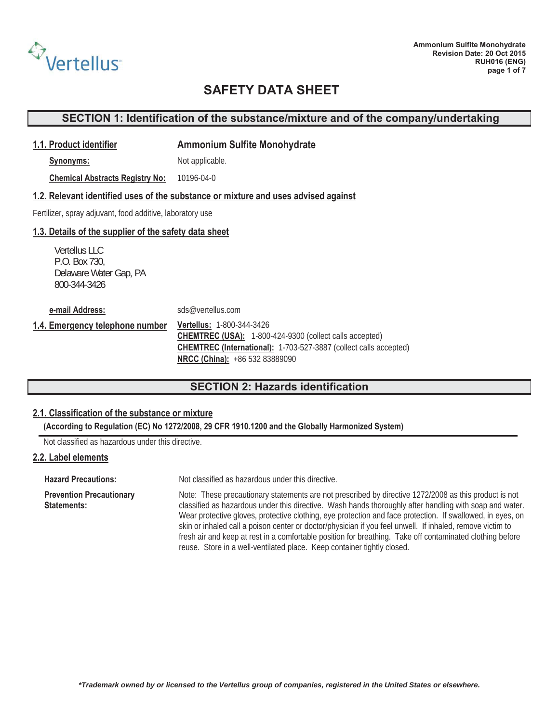

### **SECTION 1: Identification of the substance/mixture and of the company/undertaking**

#### **1.1. Product identifier Ammonium Sulfite Monohydrate**

**Synonyms:** Not applicable.

**Chemical Abstracts Registry No:** 10196-04-0

#### **1.2. Relevant identified uses of the substance or mixture and uses advised against**

Fertilizer, spray adjuvant, food additive, laboratory use

#### **1.3. Details of the supplier of the safety data sheet**

Vertellus LLC P.O. Box 730 P.O. Box 730, Delaware Water Gap, PA 800-344-3426

**e-mail Address:** sds@vertellus.com

**1.4. Emergency telephone number Vertellus:** 1-800-344-3426 **CHEMTREC (USA):** 1-800-424-9300 (collect calls accepted) **CHEMTREC (International):** 1-703-527-3887 (collect calls accepted) **NRCC (China):** +86 532 83889090

# **SECTION 2: Hazards identification**

### **2.1. Classification of the substance or mixture**

**(According to Regulation (EC) No 1272/2008, 29 CFR 1910.1200 and the Globally Harmonized System)**

Not classified as hazardous under this directive.

#### **2.2. Label elements**

**Hazard Precautions:** Not classified as hazardous under this directive.

**Prevention Precautionary Statements:** Note: These precautionary statements are not prescribed by directive 1272/2008 as this product is not classified as hazardous under this directive. Wash hands thoroughly after handling with soap and water. Wear protective gloves, protective clothing, eye protection and face protection. If swallowed, in eyes, on skin or inhaled call a poison center or doctor/physician if you feel unwell. If inhaled, remove victim to fresh air and keep at rest in a comfortable position for breathing. Take off contaminated clothing before reuse. Store in a well-ventilated place. Keep container tightly closed.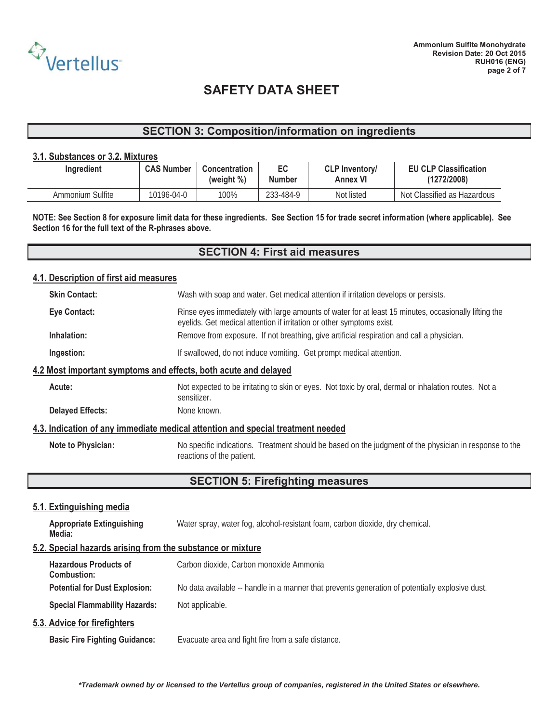

### **SECTION 3: Composition/information on ingredients**

#### **3.1. Substances or 3.2. Mixtures**

| Ingredient       | <b>CAS Number</b> | Concentration<br>(weight %) | EC<br><b>Number</b> | <b>CLP Inventory/</b><br><b>Annex VI</b> | <b>EU CLP Classification</b><br>(1272/2008) |
|------------------|-------------------|-----------------------------|---------------------|------------------------------------------|---------------------------------------------|
| Ammonium Sulfite | 10196-04-0        | 100%                        | 233-484-9           | Not listed                               | Not Classified as Hazardous                 |

**NOTE: See Section 8 for exposure limit data for these ingredients. See Section 15 for trade secret information (where applicable). See Section 16 for the full text of the R-phrases above.** 

### **SECTION 4: First aid measures**

### **4.1. Description of first aid measures**

|                                                                                 | <b>Skin Contact:</b>                                            | Wash with soap and water. Get medical attention if irritation develops or persists.                                                                                           |  |  |
|---------------------------------------------------------------------------------|-----------------------------------------------------------------|-------------------------------------------------------------------------------------------------------------------------------------------------------------------------------|--|--|
|                                                                                 | <b>Eye Contact:</b>                                             | Rinse eyes immediately with large amounts of water for at least 15 minutes, occasionally lifting the<br>eyelids. Get medical attention if irritation or other symptoms exist. |  |  |
|                                                                                 | Inhalation:                                                     | Remove from exposure. If not breathing, give artificial respiration and call a physician.                                                                                     |  |  |
|                                                                                 | Ingestion:                                                      | If swallowed, do not induce vomiting. Get prompt medical attention.                                                                                                           |  |  |
|                                                                                 | 4.2 Most important symptoms and effects, both acute and delayed |                                                                                                                                                                               |  |  |
|                                                                                 | Acute:                                                          | Not expected to be irritating to skin or eyes. Not toxic by oral, dermal or inhalation routes. Not a<br>sensitizer.                                                           |  |  |
|                                                                                 | <b>Delayed Effects:</b>                                         | None known.                                                                                                                                                                   |  |  |
| 4.3. Indication of any immediate medical attention and special treatment needed |                                                                 |                                                                                                                                                                               |  |  |
|                                                                                 | Note to Physician:                                              | No specific indications. Treatment should be based on the judgment of the physician in response to the<br>reactions of the patient.                                           |  |  |

# **SECTION 5: Firefighting measures**

### **5.1. Extinguishing media**

| <b>Appropriate Extinguishing</b><br>Media:                 | Water spray, water fog, alcohol-resistant foam, carbon dioxide, dry chemical.                   |
|------------------------------------------------------------|-------------------------------------------------------------------------------------------------|
| 5.2. Special hazards arising from the substance or mixture |                                                                                                 |
| <b>Hazardous Products of</b><br>Combustion:                | Carbon dioxide, Carbon monoxide Ammonia                                                         |
| <b>Potential for Dust Explosion:</b>                       | No data available -- handle in a manner that prevents generation of potentially explosive dust. |
| <b>Special Flammability Hazards:</b>                       | Not applicable.                                                                                 |

#### **5.3. Advice for firefighters**

**Basic Fire Fighting Guidance:** Evacuate area and fight fire from a safe distance.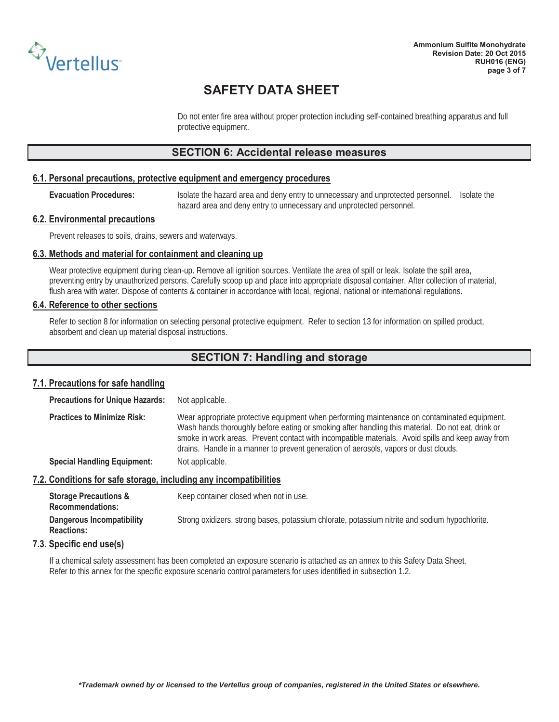

Do not enter fire area without proper protection including self-contained breathing apparatus and full protective equipment.

### **SECTION 6: Accidental release measures**

#### **6.1. Personal precautions, protective equipment and emergency procedures**

**Evacuation Procedures:** Isolate the hazard area and deny entry to unnecessary and unprotected personnel. Isolate the hazard area and deny entry to unnecessary and unprotected personnel.

#### **6.2. Environmental precautions**

Prevent releases to soils, drains, sewers and waterways.

#### **6.3. Methods and material for containment and cleaning up**

Wear protective equipment during clean-up. Remove all ignition sources. Ventilate the area of spill or leak. Isolate the spill area, preventing entry by unauthorized persons. Carefully scoop up and place into appropriate disposal container. After collection of material, flush area with water. Dispose of contents & container in accordance with local, regional, national or international regulations.

#### **6.4. Reference to other sections**

Refer to section 8 for information on selecting personal protective equipment. Refer to section 13 for information on spilled product, absorbent and clean up material disposal instructions.

### **SECTION 7: Handling and storage**

#### **7.1. Precautions for safe handling**

**Precautions for Unique Hazards: Not applicable.** 

**Practices to Minimize Risk:** Wear appropriate protective equipment when performing maintenance on contaminated equipment. Wash hands thoroughly before eating or smoking after handling this material. Do not eat, drink or smoke in work areas. Prevent contact with incompatible materials. Avoid spills and keep away from drains. Handle in a manner to prevent generation of aerosols, vapors or dust clouds. **Special Handling Equipment:** Not applicable.

#### **7.2. Conditions for safe storage, including any incompatibilities**

| <b>Storage Precautions &amp;</b><br><b>Recommendations:</b> | Keep container closed when not in use.                                                         |
|-------------------------------------------------------------|------------------------------------------------------------------------------------------------|
| <b>Dangerous Incompatibility</b><br><b>Reactions:</b>       | Strong oxidizers, strong bases, potassium chlorate, potassium nitrite and sodium hypochlorite. |

#### **7.3. Specific end use(s)**

If a chemical safety assessment has been completed an exposure scenario is attached as an annex to this Safety Data Sheet. Refer to this annex for the specific exposure scenario control parameters for uses identified in subsection 1.2.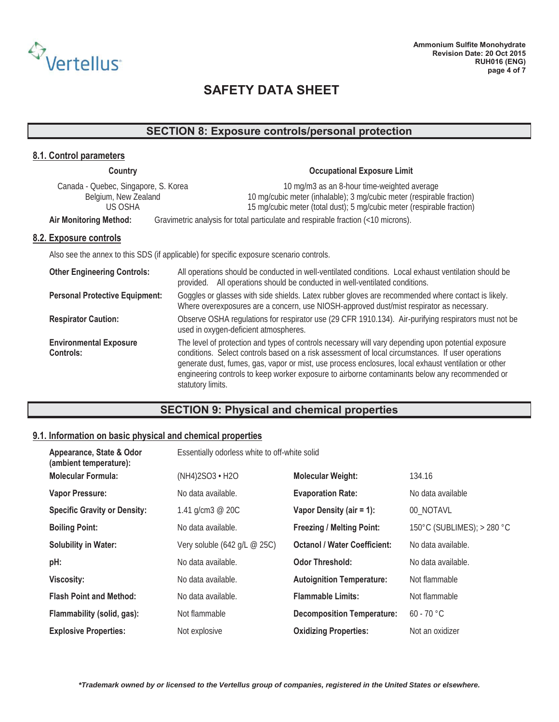

# **SECTION 8: Exposure controls/personal protection**

| 8.1. Control parameters                                                 |                                                                                                                                                                                                                                                                                                                                                                                                                                         |  |  |
|-------------------------------------------------------------------------|-----------------------------------------------------------------------------------------------------------------------------------------------------------------------------------------------------------------------------------------------------------------------------------------------------------------------------------------------------------------------------------------------------------------------------------------|--|--|
| Country                                                                 | <b>Occupational Exposure Limit</b>                                                                                                                                                                                                                                                                                                                                                                                                      |  |  |
| Canada - Quebec, Singapore, S. Korea<br>Belgium, New Zealand<br>US OSHA | 10 mg/m3 as an 8-hour time-weighted average<br>10 mg/cubic meter (inhalable); 3 mg/cubic meter (respirable fraction)<br>15 mg/cubic meter (total dust); 5 mg/cubic meter (respirable fraction)                                                                                                                                                                                                                                          |  |  |
| <b>Air Monitoring Method:</b>                                           | Gravimetric analysis for total particulate and respirable fraction (<10 microns).                                                                                                                                                                                                                                                                                                                                                       |  |  |
| 8.2. Exposure controls                                                  |                                                                                                                                                                                                                                                                                                                                                                                                                                         |  |  |
|                                                                         | Also see the annex to this SDS (if applicable) for specific exposure scenario controls.                                                                                                                                                                                                                                                                                                                                                 |  |  |
| <b>Other Engineering Controls:</b>                                      | All operations should be conducted in well-ventilated conditions. Local exhaust ventilation should be<br>All operations should be conducted in well-ventilated conditions.<br>provided.                                                                                                                                                                                                                                                 |  |  |
| <b>Personal Protective Equipment:</b>                                   | Goggles or glasses with side shields. Latex rubber gloves are recommended where contact is likely.<br>Where overexposures are a concern, use NIOSH-approved dust/mist respirator as necessary.                                                                                                                                                                                                                                          |  |  |
| <b>Respirator Caution:</b>                                              | Observe OSHA regulations for respirator use (29 CFR 1910.134). Air-purifying respirators must not be<br>used in oxygen-deficient atmospheres.                                                                                                                                                                                                                                                                                           |  |  |
| <b>Environmental Exposure</b><br>Controls:                              | The level of protection and types of controls necessary will vary depending upon potential exposure<br>conditions. Select controls based on a risk assessment of local circumstances. If user operations<br>generate dust, fumes, gas, vapor or mist, use process enclosures, local exhaust ventilation or other<br>engineering controls to keep worker exposure to airborne contaminants below any recommended or<br>statutory limits. |  |  |

# **SECTION 9: Physical and chemical properties**

### **9.1. Information on basic physical and chemical properties**

| Appearance, State & Odor<br>(ambient temperature): | Essentially odorless white to off-white solid         |                                     |                            |
|----------------------------------------------------|-------------------------------------------------------|-------------------------------------|----------------------------|
| <b>Molecular Formula:</b>                          | $(NH4)2SO3 \cdot H2O$                                 | <b>Molecular Weight:</b>            | 134.16                     |
| <b>Vapor Pressure:</b>                             | No data available.                                    | <b>Evaporation Rate:</b>            | No data available          |
| <b>Specific Gravity or Density:</b>                | 1.41 g/cm3 $@$ 20C                                    | Vapor Density (air = 1):            | 00_NOTAVL                  |
| <b>Boiling Point:</b>                              | No data available.                                    | <b>Freezing / Melting Point:</b>    | 150°C (SUBLIMES); > 280 °C |
| <b>Solubility in Water:</b>                        | Very soluble (642 $q/L \text{ } \textcircled{e}$ 25C) | <b>Octanol / Water Coefficient:</b> | No data available.         |
| pH:                                                | No data available.                                    | <b>Odor Threshold:</b>              | No data available.         |
| <b>Viscosity:</b>                                  | No data available.                                    | <b>Autoignition Temperature:</b>    | Not flammable              |
| <b>Flash Point and Method:</b>                     | No data available.                                    | <b>Flammable Limits:</b>            | Not flammable              |
| Flammability (solid, gas):                         | Not flammable                                         | <b>Decomposition Temperature:</b>   | $60 - 70$ °C               |
| <b>Explosive Properties:</b>                       | Not explosive                                         | <b>Oxidizing Properties:</b>        | Not an oxidizer            |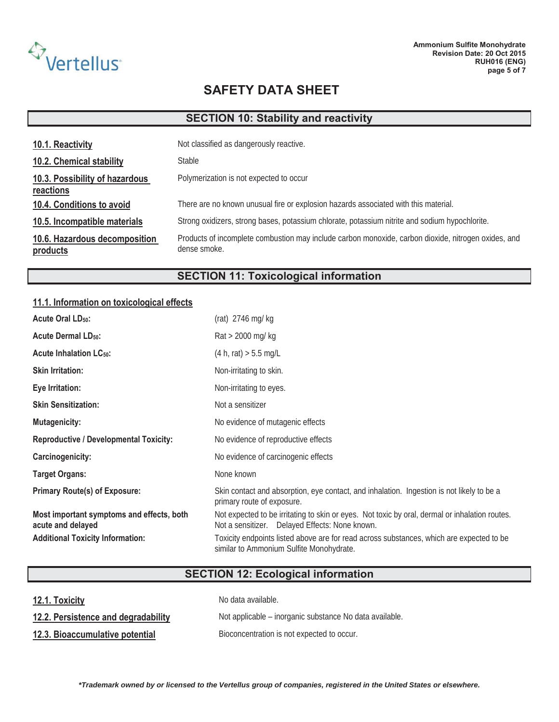

# **SECTION 10: Stability and reactivity**

| 10.1. Reactivity                            | Not classified as dangerously reactive.                                                                             |
|---------------------------------------------|---------------------------------------------------------------------------------------------------------------------|
| 10.2. Chemical stability                    | <b>Stable</b>                                                                                                       |
| 10.3. Possibility of hazardous<br>reactions | Polymerization is not expected to occur                                                                             |
| 10.4. Conditions to avoid                   | There are no known unusual fire or explosion hazards associated with this material.                                 |
| 10.5. Incompatible materials                | Strong oxidizers, strong bases, potassium chlorate, potassium nitrite and sodium hypochlorite.                      |
| 10.6. Hazardous decomposition<br>products   | Products of incomplete combustion may include carbon monoxide, carbon dioxide, nitrogen oxides, and<br>dense smoke. |

# **SECTION 11: Toxicological information**

### **11.1. Information on toxicological effects**

| <b>Acute Oral LD<sub>50</sub>:</b>                             | (rat) $2746$ mg/kg                                                                                                                               |
|----------------------------------------------------------------|--------------------------------------------------------------------------------------------------------------------------------------------------|
| <b>Acute Dermal LD<sub>50</sub>:</b>                           | $\text{Rat}$ > 2000 mg/kg                                                                                                                        |
| <b>Acute Inhalation LC50:</b>                                  | (4 h, rat) > 5.5 mg/L                                                                                                                            |
| <b>Skin Irritation:</b>                                        | Non-irritating to skin.                                                                                                                          |
| Eye Irritation:                                                | Non-irritating to eyes.                                                                                                                          |
| <b>Skin Sensitization:</b>                                     | Not a sensitizer                                                                                                                                 |
| <b>Mutagenicity:</b>                                           | No evidence of mutagenic effects                                                                                                                 |
| <b>Reproductive / Developmental Toxicity:</b>                  | No evidence of reproductive effects                                                                                                              |
| Carcinogenicity:                                               | No evidence of carcinogenic effects                                                                                                              |
| <b>Target Organs:</b>                                          | None known                                                                                                                                       |
| <b>Primary Route(s) of Exposure:</b>                           | Skin contact and absorption, eye contact, and inhalation. Ingestion is not likely to be a<br>primary route of exposure.                          |
| Most important symptoms and effects, both<br>acute and delayed | Not expected to be irritating to skin or eyes. Not toxic by oral, dermal or inhalation routes.<br>Not a sensitizer. Delayed Effects: None known. |
| <b>Additional Toxicity Information:</b>                        | Toxicity endpoints listed above are for read across substances, which are expected to be<br>similar to Ammonium Sulfite Monohydrate.             |

# **SECTION 12: Ecological information**

| 12.1. Toxicity                      | No data available.                                      |
|-------------------------------------|---------------------------------------------------------|
| 12.2. Persistence and degradability | Not applicable – inorganic substance No data available. |
| 12.3. Bioaccumulative potential     | Bioconcentration is not expected to occur.              |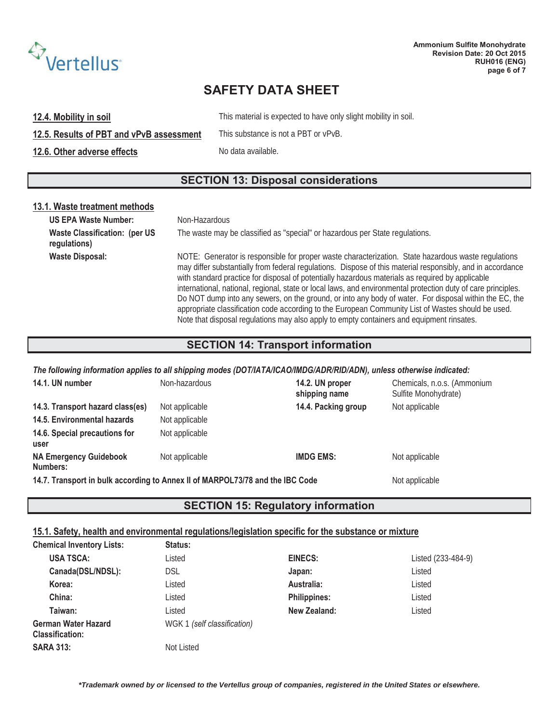

**12.4. Mobility in soil 12.4. Mobility in soil.** This material is expected to have only slight mobility in soil.

12.5. Results of PBT and vPvB assessment This substance is not a PBT or vPvB.

**12.6. Other adverse effects** No data available.

# **SECTION 13: Disposal considerations**

### **13.1. Waste treatment methods**

| <b>US EPA Waste Number:</b>                           | Non-Hazardous                                                                                                                                                                                                                                                                                                                                                                                                                                                                                                                                                                                                                                                                                                                                       |
|-------------------------------------------------------|-----------------------------------------------------------------------------------------------------------------------------------------------------------------------------------------------------------------------------------------------------------------------------------------------------------------------------------------------------------------------------------------------------------------------------------------------------------------------------------------------------------------------------------------------------------------------------------------------------------------------------------------------------------------------------------------------------------------------------------------------------|
| <b>Waste Classification: (per US)</b><br>regulations) | The waste may be classified as "special" or hazardous per State regulations.                                                                                                                                                                                                                                                                                                                                                                                                                                                                                                                                                                                                                                                                        |
| <b>Waste Disposal:</b>                                | NOTE: Generator is responsible for proper waste characterization. State hazardous waste regulations<br>may differ substantially from federal regulations. Dispose of this material responsibly, and in accordance<br>with standard practice for disposal of potentially hazardous materials as required by applicable<br>international, national, regional, state or local laws, and environmental protection duty of care principles.<br>Do NOT dump into any sewers, on the ground, or into any body of water. For disposal within the EC, the<br>appropriate classification code according to the European Community List of Wastes should be used.<br>Note that disposal regulations may also apply to empty containers and equipment rinsates. |

### **SECTION 14: Transport information**

#### *The following information applies to all shipping modes (DOT/IATA/ICAO/IMDG/ADR/RID/ADN), unless otherwise indicated:*

| 14.1. UN number                                                               | Non-hazardous  | 14.2. UN proper<br>shipping name | Chemicals, n.o.s. (Ammonium<br>Sulfite Monohydrate) |
|-------------------------------------------------------------------------------|----------------|----------------------------------|-----------------------------------------------------|
| 14.3. Transport hazard class(es)                                              | Not applicable | 14.4. Packing group              | Not applicable                                      |
| 14.5. Environmental hazards                                                   | Not applicable |                                  |                                                     |
| 14.6. Special precautions for<br>user                                         | Not applicable |                                  |                                                     |
| <b>NA Emergency Guidebook</b><br>Numbers:                                     | Not applicable | <b>IMDG EMS:</b>                 | Not applicable                                      |
| 14.7. Transport in bulk according to Annex II of MARPOL73/78 and the IBC Code | Not applicable |                                  |                                                     |

# **SECTION 15: Regulatory information**

#### **15.1. Safety, health and environmental regulations/legislation specific for the substance or mixture**

| <b>Chemical Inventory Lists:</b>                     | <b>Status:</b>              |                     |                    |
|------------------------------------------------------|-----------------------------|---------------------|--------------------|
| <b>USA TSCA:</b>                                     | Listed                      | <b>EINECS:</b>      | Listed (233-484-9) |
| Canada(DSL/NDSL):                                    | <b>DSL</b>                  | Japan:              | Listed             |
| Korea:                                               | Listed                      | Australia:          | Listed             |
| China:                                               | Listed                      | <b>Philippines:</b> | Listed             |
| Taiwan:                                              | Listed                      | New Zealand:        | Listed             |
| <b>German Water Hazard</b><br><b>Classification:</b> | WGK 1 (self classification) |                     |                    |
| <b>SARA 313:</b>                                     | Not Listed                  |                     |                    |